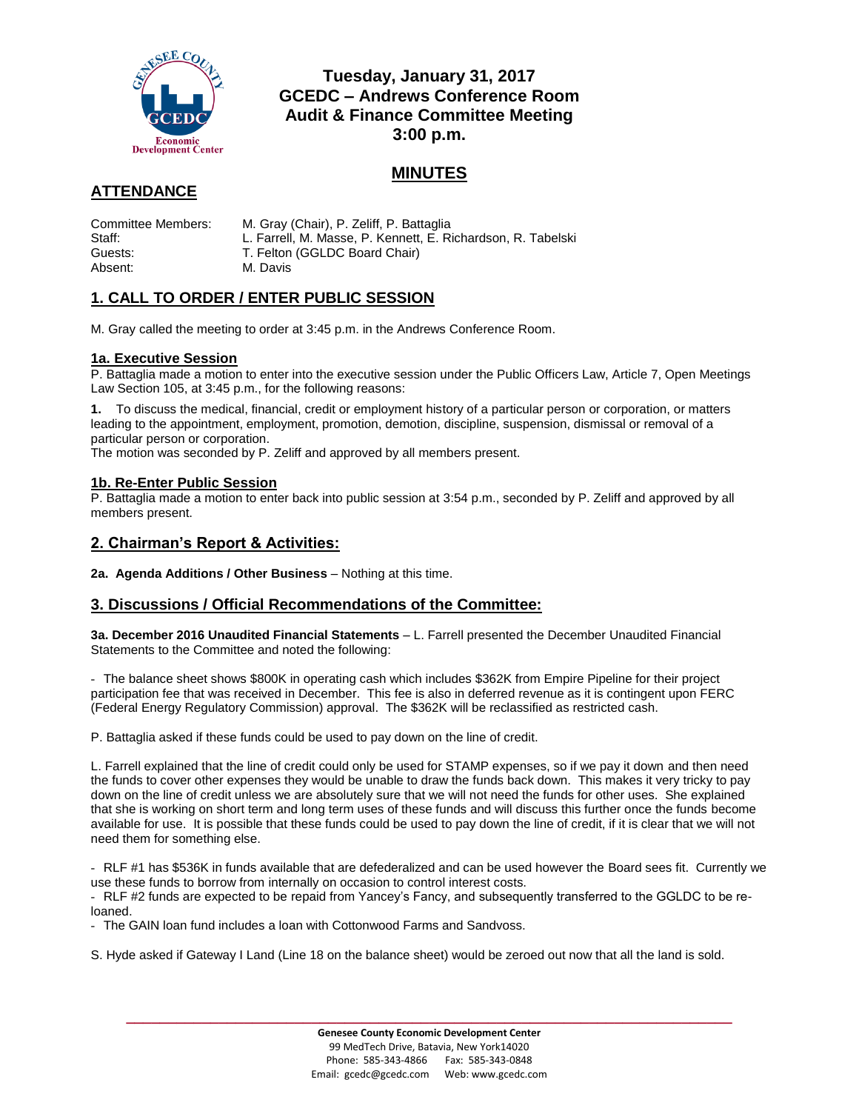

## **Tuesday, January 31, 2017 GCEDC – Andrews Conference Room Audit & Finance Committee Meeting 3:00 p.m.**

# **MINUTES**

# **ATTENDANCE**

| Committee Members:<br>Staff: | M. Gray (Chair), P. Zeliff, P. Battaglia                                                      |
|------------------------------|-----------------------------------------------------------------------------------------------|
| Guests:                      | L. Farrell, M. Masse, P. Kennett, E. Richardson, R. Tabelski<br>T. Felton (GGLDC Board Chair) |
| Absent:                      | M. Davis                                                                                      |

## **1. CALL TO ORDER / ENTER PUBLIC SESSION**

M. Gray called the meeting to order at 3:45 p.m. in the Andrews Conference Room.

### **1a. Executive Session**

P. Battaglia made a motion to enter into the executive session under the Public Officers Law, Article 7, Open Meetings Law Section 105, at 3:45 p.m., for the following reasons:

**1.** To discuss the medical, financial, credit or employment history of a particular person or corporation, or matters leading to the appointment, employment, promotion, demotion, discipline, suspension, dismissal or removal of a particular person or corporation.

The motion was seconded by P. Zeliff and approved by all members present.

### **1b. Re-Enter Public Session**

P. Battaglia made a motion to enter back into public session at 3:54 p.m., seconded by P. Zeliff and approved by all members present.

### **2. Chairman's Report & Activities:**

**2a. Agenda Additions / Other Business** – Nothing at this time.

## **3. Discussions / Official Recommendations of the Committee:**

**3a. December 2016 Unaudited Financial Statements** – L. Farrell presented the December Unaudited Financial Statements to the Committee and noted the following:

- The balance sheet shows \$800K in operating cash which includes \$362K from Empire Pipeline for their project participation fee that was received in December. This fee is also in deferred revenue as it is contingent upon FERC (Federal Energy Regulatory Commission) approval. The \$362K will be reclassified as restricted cash.

P. Battaglia asked if these funds could be used to pay down on the line of credit.

L. Farrell explained that the line of credit could only be used for STAMP expenses, so if we pay it down and then need the funds to cover other expenses they would be unable to draw the funds back down. This makes it very tricky to pay down on the line of credit unless we are absolutely sure that we will not need the funds for other uses. She explained that she is working on short term and long term uses of these funds and will discuss this further once the funds become available for use. It is possible that these funds could be used to pay down the line of credit, if it is clear that we will not need them for something else.

- RLF #1 has \$536K in funds available that are defederalized and can be used however the Board sees fit. Currently we use these funds to borrow from internally on occasion to control interest costs.

- RLF #2 funds are expected to be repaid from Yancey's Fancy, and subsequently transferred to the GGLDC to be reloaned.

- The GAIN loan fund includes a loan with Cottonwood Farms and Sandvoss.

S. Hyde asked if Gateway I Land (Line 18 on the balance sheet) would be zeroed out now that all the land is sold.

**\_\_\_\_\_\_\_\_\_\_\_\_\_\_\_\_\_\_\_\_\_\_\_\_\_\_\_\_\_\_\_\_\_\_\_\_\_\_\_\_\_\_\_\_\_\_\_\_\_\_\_\_\_\_\_\_\_\_\_\_\_\_\_\_\_\_\_\_\_\_\_\_**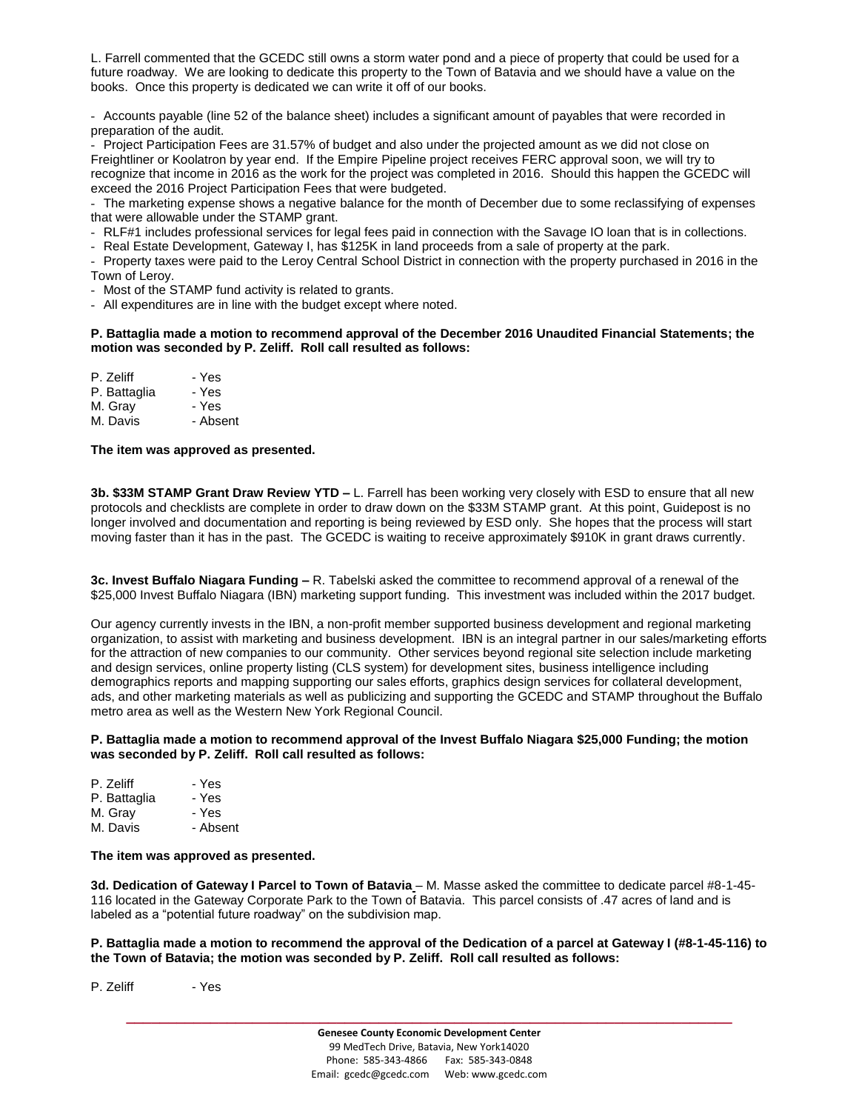L. Farrell commented that the GCEDC still owns a storm water pond and a piece of property that could be used for a future roadway. We are looking to dedicate this property to the Town of Batavia and we should have a value on the books. Once this property is dedicated we can write it off of our books.

- Accounts payable (line 52 of the balance sheet) includes a significant amount of payables that were recorded in preparation of the audit.

- Project Participation Fees are 31.57% of budget and also under the projected amount as we did not close on Freightliner or Koolatron by year end. If the Empire Pipeline project receives FERC approval soon, we will try to recognize that income in 2016 as the work for the project was completed in 2016. Should this happen the GCEDC will exceed the 2016 Project Participation Fees that were budgeted.

- The marketing expense shows a negative balance for the month of December due to some reclassifying of expenses that were allowable under the STAMP grant.

- RLF#1 includes professional services for legal fees paid in connection with the Savage IO loan that is in collections.

- Real Estate Development, Gateway I, has \$125K in land proceeds from a sale of property at the park.

- Property taxes were paid to the Leroy Central School District in connection with the property purchased in 2016 in the Town of Leroy.

- Most of the STAMP fund activity is related to grants.

- All expenditures are in line with the budget except where noted.

#### **P. Battaglia made a motion to recommend approval of the December 2016 Unaudited Financial Statements; the motion was seconded by P. Zeliff. Roll call resulted as follows:**

| P. Zeliff    | - Yes    |
|--------------|----------|
| P. Battaglia | - Yes    |
| M. Gray      | - Yes    |
| M. Davis     | - Absent |

#### **The item was approved as presented.**

**3b. \$33M STAMP Grant Draw Review YTD –** L. Farrell has been working very closely with ESD to ensure that all new protocols and checklists are complete in order to draw down on the \$33M STAMP grant. At this point, Guidepost is no longer involved and documentation and reporting is being reviewed by ESD only. She hopes that the process will start moving faster than it has in the past. The GCEDC is waiting to receive approximately \$910K in grant draws currently.

**3c. Invest Buffalo Niagara Funding –** R. Tabelski asked the committee to recommend approval of a renewal of the \$25,000 Invest Buffalo Niagara (IBN) marketing support funding. This investment was included within the 2017 budget.

Our agency currently invests in the IBN, a non-profit member supported business development and regional marketing organization, to assist with marketing and business development. IBN is an integral partner in our sales/marketing efforts for the attraction of new companies to our community. Other services beyond regional site selection include marketing and design services, online property listing (CLS system) for development sites, business intelligence including demographics reports and mapping supporting our sales efforts, graphics design services for collateral development, ads, and other marketing materials as well as publicizing and supporting the GCEDC and STAMP throughout the Buffalo metro area as well as the Western New York Regional Council.

**P. Battaglia made a motion to recommend approval of the Invest Buffalo Niagara \$25,000 Funding; the motion was seconded by P. Zeliff. Roll call resulted as follows:**

| - Yes    |
|----------|
| - Yes    |
| - Yes    |
| - Absent |
|          |

#### **The item was approved as presented.**

**3d. Dedication of Gateway I Parcel to Town of Batavia** – M. Masse asked the committee to dedicate parcel #8-1-45- 116 located in the Gateway Corporate Park to the Town of Batavia. This parcel consists of .47 acres of land and is labeled as a "potential future roadway" on the subdivision map.

**P. Battaglia made a motion to recommend the approval of the Dedication of a parcel at Gateway I (#8-1-45-116) to the Town of Batavia; the motion was seconded by P. Zeliff. Roll call resulted as follows:**

P. Zeliff - Yes

**\_\_\_\_\_\_\_\_\_\_\_\_\_\_\_\_\_\_\_\_\_\_\_\_\_\_\_\_\_\_\_\_\_\_\_\_\_\_\_\_\_\_\_\_\_\_\_\_\_\_\_\_\_\_\_\_\_\_\_\_\_\_\_\_\_\_\_\_\_\_\_\_**